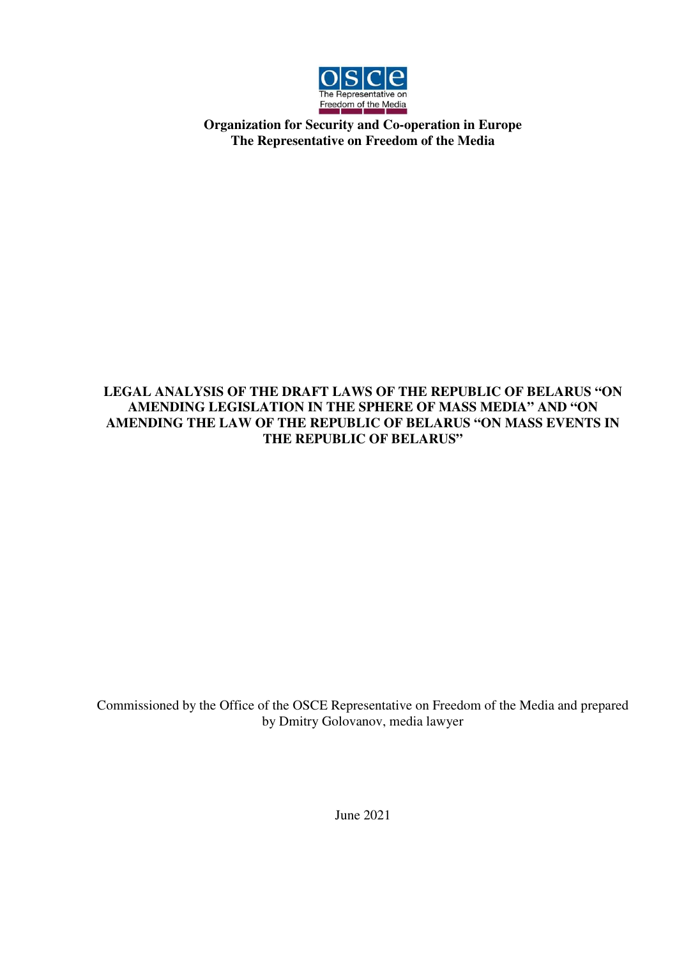

**Organization for Security and Co-operation in Europe The Representative on Freedom of the Media** 

## **LEGAL ANALYSIS OF THE DRAFT LAWS OF THE REPUBLIC OF BELARUS "ON AMENDING LEGISLATION IN THE SPHERE OF MASS MEDIA" AND "ON AMENDING THE LAW OF THE REPUBLIC OF BELARUS "ON MASS EVENTS IN THE REPUBLIC OF BELARUS"**

Commissioned by the Office of the OSCE Representative on Freedom of the Media and prepared by Dmitry Golovanov, media lawyer

June 2021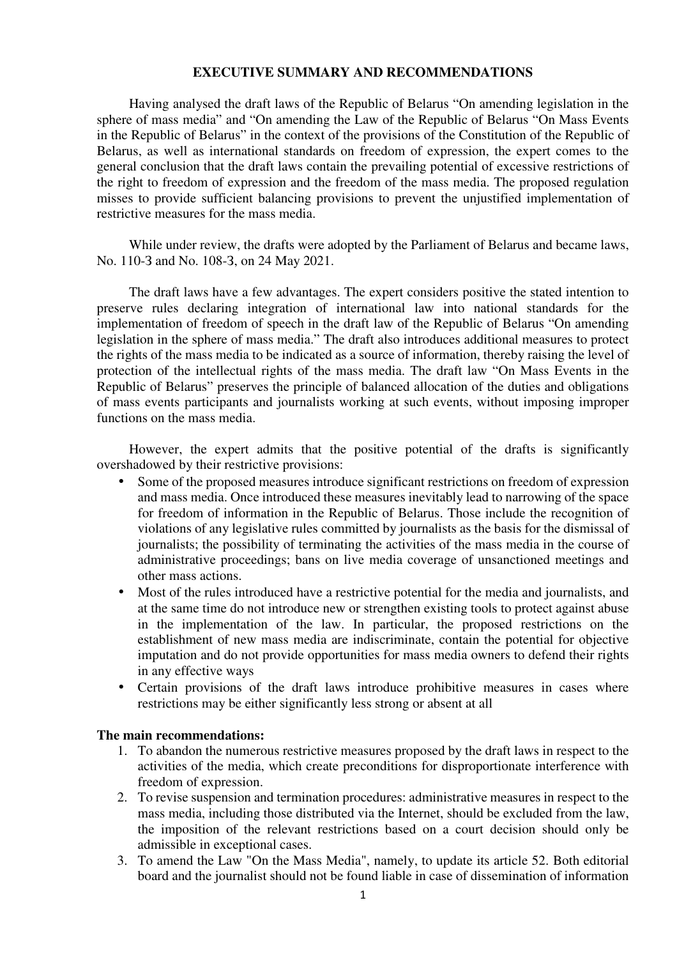## **EXECUTIVE SUMMARY AND RECOMMENDATIONS**

Having analysed the draft laws of the Republic of Belarus "On amending legislation in the sphere of mass media" and "On amending the Law of the Republic of Belarus "On Mass Events in the Republic of Belarus" in the context of the provisions of the Constitution of the Republic of Belarus, as well as international standards on freedom of expression, the expert comes to the general conclusion that the draft laws contain the prevailing potential of excessive restrictions of the right to freedom of expression and the freedom of the mass media. The proposed regulation misses to provide sufficient balancing provisions to prevent the unjustified implementation of restrictive measures for the mass media.

While under review, the drafts were adopted by the Parliament of Belarus and became laws, No. 110-З and No. 108-З, on 24 May 2021.

The draft laws have a few advantages. The expert considers positive the stated intention to preserve rules declaring integration of international law into national standards for the implementation of freedom of speech in the draft law of the Republic of Belarus "On amending legislation in the sphere of mass media." The draft also introduces additional measures to protect the rights of the mass media to be indicated as a source of information, thereby raising the level of protection of the intellectual rights of the mass media. The draft law "On Mass Events in the Republic of Belarus" preserves the principle of balanced allocation of the duties and obligations of mass events participants and journalists working at such events, without imposing improper functions on the mass media.

However, the expert admits that the positive potential of the drafts is significantly overshadowed by their restrictive provisions:

- Some of the proposed measures introduce significant restrictions on freedom of expression and mass media. Once introduced these measures inevitably lead to narrowing of the space for freedom of information in the Republic of Belarus. Those include the recognition of violations of any legislative rules committed by journalists as the basis for the dismissal of journalists; the possibility of terminating the activities of the mass media in the course of administrative proceedings; bans on live media coverage of unsanctioned meetings and other mass actions.
- Most of the rules introduced have a restrictive potential for the media and journalists, and at the same time do not introduce new or strengthen existing tools to protect against abuse in the implementation of the law. In particular, the proposed restrictions on the establishment of new mass media are indiscriminate, contain the potential for objective imputation and do not provide opportunities for mass media owners to defend their rights in any effective ways
- Certain provisions of the draft laws introduce prohibitive measures in cases where restrictions may be either significantly less strong or absent at all

## **The main recommendations:**

- 1. To abandon the numerous restrictive measures proposed by the draft laws in respect to the activities of the media, which create preconditions for disproportionate interference with freedom of expression.
- 2. To revise suspension and termination procedures: administrative measures in respect to the mass media, including those distributed via the Internet, should be excluded from the law, the imposition of the relevant restrictions based on a court decision should only be admissible in exceptional cases.
- 3. To amend the Law "On the Mass Media", namely, to update its article 52. Both editorial board and the journalist should not be found liable in case of dissemination of information